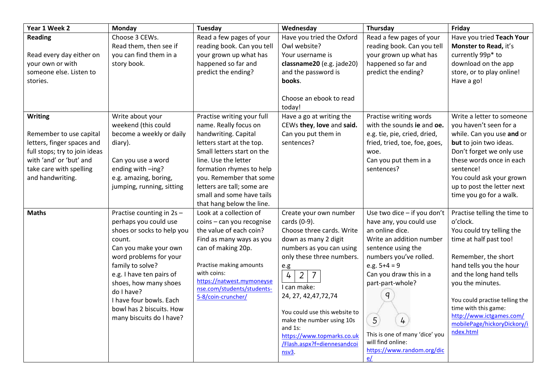| Year 1 Week 2                 | Monday                                          | Tuesday                                                 | Wednesday                                         | Thursday                                                   | Friday                                              |
|-------------------------------|-------------------------------------------------|---------------------------------------------------------|---------------------------------------------------|------------------------------------------------------------|-----------------------------------------------------|
| <b>Reading</b>                | Choose 3 CEWs.                                  | Read a few pages of your                                | Have you tried the Oxford                         | Read a few pages of your                                   | Have you tried Teach Your                           |
|                               | Read them, then see if                          | reading book. Can you tell                              | Owl website?                                      | reading book. Can you tell                                 | Monster to Read, it's                               |
| Read every day either on      | you can find them in a                          | your grown up what has                                  | Your username is                                  | your grown up what has                                     | currently 99p* to                                   |
| your own or with              | story book.                                     | happened so far and                                     | classname20 (e.g. jade20)                         | happened so far and                                        | download on the app                                 |
| someone else. Listen to       |                                                 | predict the ending?                                     | and the password is                               | predict the ending?                                        | store, or to play online!                           |
| stories.                      |                                                 |                                                         | books.                                            |                                                            | Have a go!                                          |
|                               |                                                 |                                                         |                                                   |                                                            |                                                     |
|                               |                                                 |                                                         | Choose an ebook to read                           |                                                            |                                                     |
|                               |                                                 |                                                         | today!                                            |                                                            |                                                     |
| <b>Writing</b>                | Write about your                                | Practise writing your full                              | Have a go at writing the                          | Practise writing words                                     | Write a letter to someone                           |
| Remember to use capital       | weekend (this could<br>become a weekly or daily | name. Really focus on                                   | CEWs they, love and said.<br>Can you put them in  | with the sounds ie and oe.<br>e.g. tie, pie, cried, dried, | you haven't seen for a<br>while. Can you use and or |
| letters, finger spaces and    |                                                 | handwriting. Capital<br>letters start at the top.       | sentences?                                        | fried, tried, toe, foe, goes,                              | but to join two ideas.                              |
| full stops; try to join ideas | diary).                                         | Small letters start on the                              |                                                   | woe.                                                       | Don't forget we only use                            |
| with 'and' or 'but' and       | Can you use a word                              | line. Use the letter                                    |                                                   | Can you put them in a                                      | these words once in each                            |
| take care with spelling       | ending with -ing?                               | formation rhymes to help                                |                                                   | sentences?                                                 | sentence!                                           |
| and handwriting.              | e.g. amazing, boring,                           | you. Remember that some                                 |                                                   |                                                            | You could ask your grown                            |
|                               | jumping, running, sitting                       | letters are tall; some are                              |                                                   |                                                            | up to post the letter next                          |
|                               |                                                 | small and some have tails                               |                                                   |                                                            | time you go for a walk.                             |
|                               |                                                 | that hang below the line.                               |                                                   |                                                            |                                                     |
| <b>Maths</b>                  | Practise counting in 2s -                       | Look at a collection of                                 | Create your own number                            | Use two dice - if you don't                                | Practise telling the time to                        |
|                               | perhaps you could use                           | coins - can you recognise                               | cards (0-9).                                      | have any, you could use                                    | o'clock.                                            |
|                               | shoes or socks to help you                      | the value of each coin?                                 | Choose three cards. Write                         | an online dice.                                            | You could try telling the                           |
|                               | count.                                          | Find as many ways as you                                | down as many 2 digit                              | Write an addition number                                   | time at half past too!                              |
|                               | Can you make your own                           | can of making 20p.                                      | numbers as you can using                          | sentence using the                                         |                                                     |
|                               | word problems for your                          |                                                         | only these three numbers.                         | numbers you've rolled.                                     | Remember, the short                                 |
|                               | family to solve?                                | Practise making amounts                                 | e.g                                               | e.g. $5+4=9$                                               | hand tells you the hour                             |
|                               | e.g. I have ten pairs of                        | with coins:                                             | $\frac{1}{4}$<br>$\overline{2}$<br>$\overline{7}$ | Can you draw this in a                                     | and the long hand tells                             |
|                               | shoes, how many shoes                           | https://natwest.mymoneyse<br>nse.com/students/students- | I can make:                                       | part-part-whole?                                           | you the minutes.                                    |
|                               | do I have?                                      | 5-8/coin-cruncher/                                      | 24, 27, 42, 47, 72, 74                            | $\mathsf{q}$                                               |                                                     |
|                               | I have four bowls. Each                         |                                                         |                                                   |                                                            | You could practise telling the                      |
|                               | bowl has 2 biscuits. How                        |                                                         | You could use this website to                     |                                                            | time with this game:<br>http://www.ictgames.com/    |
|                               | many biscuits do I have?                        |                                                         | make the number using 10s                         | 5<br>$\frac{1}{4}$                                         | mobilePage/hickoryDickory/i                         |
|                               |                                                 |                                                         | and 1s:                                           | This is one of many 'dice' you                             | ndex.html                                           |
|                               |                                                 |                                                         | https://www.topmarks.co.uk                        | will find online:                                          |                                                     |
|                               |                                                 |                                                         | /Flash.aspx?f=diennesandcoi<br>$nsv3$ .           | https://www.random.org/dic                                 |                                                     |
|                               |                                                 |                                                         |                                                   | e/                                                         |                                                     |